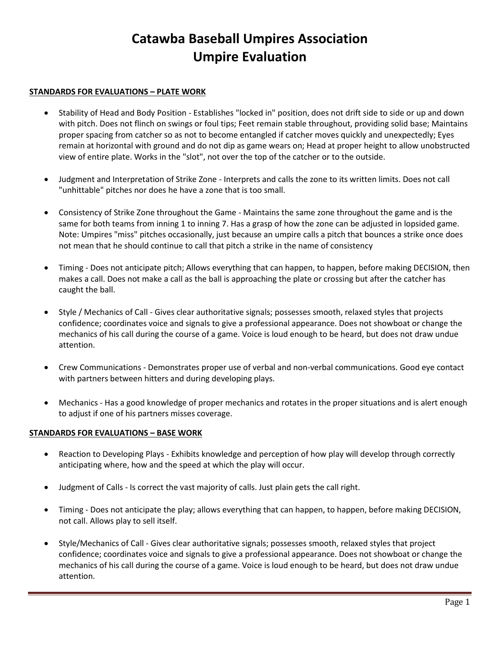## **Catawba Baseball Umpires Association Umpire Evaluation**

#### **STANDARDS FOR EVALUATIONS – PLATE WORK**

- Stability of Head and Body Position Establishes "locked in" position, does not drift side to side or up and down with pitch. Does not flinch on swings or foul tips; Feet remain stable throughout, providing solid base; Maintains proper spacing from catcher so as not to become entangled if catcher moves quickly and unexpectedly; Eyes remain at horizontal with ground and do not dip as game wears on; Head at proper height to allow unobstructed view of entire plate. Works in the "slot", not over the top of the catcher or to the outside.
- Judgment and Interpretation of Strike Zone Interprets and calls the zone to its written limits. Does not call "unhittable" pitches nor does he have a zone that is too small.
- Consistency of Strike Zone throughout the Game Maintains the same zone throughout the game and is the same for both teams from inning 1 to inning 7. Has a grasp of how the zone can be adjusted in lopsided game. Note: Umpires "miss" pitches occasionally, just because an umpire calls a pitch that bounces a strike once does not mean that he should continue to call that pitch a strike in the name of consistency
- Timing Does not anticipate pitch; Allows everything that can happen, to happen, before making DECISION, then makes a call. Does not make a call as the ball is approaching the plate or crossing but after the catcher has caught the ball.
- Style / Mechanics of Call Gives clear authoritative signals; possesses smooth, relaxed styles that projects confidence; coordinates voice and signals to give a professional appearance. Does not showboat or change the mechanics of his call during the course of a game. Voice is loud enough to be heard, but does not draw undue attention.
- Crew Communications Demonstrates proper use of verbal and non-verbal communications. Good eye contact with partners between hitters and during developing plays.
- Mechanics Has a good knowledge of proper mechanics and rotates in the proper situations and is alert enough to adjust if one of his partners misses coverage.

#### **STANDARDS FOR EVALUATIONS – BASE WORK**

- Reaction to Developing Plays Exhibits knowledge and perception of how play will develop through correctly anticipating where, how and the speed at which the play will occur.
- Judgment of Calls Is correct the vast majority of calls. Just plain gets the call right.
- Timing Does not anticipate the play; allows everything that can happen, to happen, before making DECISION, not call. Allows play to sell itself.
- Style/Mechanics of Call Gives clear authoritative signals; possesses smooth, relaxed styles that project confidence; coordinates voice and signals to give a professional appearance. Does not showboat or change the mechanics of his call during the course of a game. Voice is loud enough to be heard, but does not draw undue attention.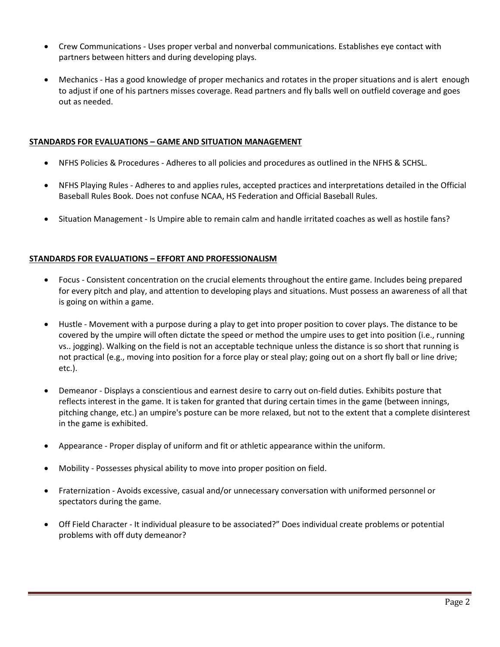- Crew Communications Uses proper verbal and nonverbal communications. Establishes eye contact with partners between hitters and during developing plays.
- Mechanics Has a good knowledge of proper mechanics and rotates in the proper situations and is alert enough to adjust if one of his partners misses coverage. Read partners and fly balls well on outfield coverage and goes out as needed.

#### **STANDARDS FOR EVALUATIONS – GAME AND SITUATION MANAGEMENT**

- NFHS Policies & Procedures Adheres to all policies and procedures as outlined in the NFHS & SCHSL.
- NFHS Playing Rules Adheres to and applies rules, accepted practices and interpretations detailed in the Official Baseball Rules Book. Does not confuse NCAA, HS Federation and Official Baseball Rules.
- Situation Management Is Umpire able to remain calm and handle irritated coaches as well as hostile fans?

#### **STANDARDS FOR EVALUATIONS – EFFORT AND PROFESSIONALISM**

- Focus Consistent concentration on the crucial elements throughout the entire game. Includes being prepared for every pitch and play, and attention to developing plays and situations. Must possess an awareness of all that is going on within a game.
- Hustle Movement with a purpose during a play to get into proper position to cover plays. The distance to be covered by the umpire will often dictate the speed or method the umpire uses to get into position (i.e., running vs.. jogging). Walking on the field is not an acceptable technique unless the distance is so short that running is not practical (e.g., moving into position for a force play or steal play; going out on a short fly ball or line drive; etc.).
- Demeanor Displays a conscientious and earnest desire to carry out on-field duties. Exhibits posture that reflects interest in the game. It is taken for granted that during certain times in the game (between innings, pitching change, etc.) an umpire's posture can be more relaxed, but not to the extent that a complete disinterest in the game is exhibited.
- Appearance Proper display of uniform and fit or athletic appearance within the uniform.
- Mobility Possesses physical ability to move into proper position on field.
- Fraternization Avoids excessive, casual and/or unnecessary conversation with uniformed personnel or spectators during the game.
- Off Field Character It individual pleasure to be associated?" Does individual create problems or potential problems with off duty demeanor?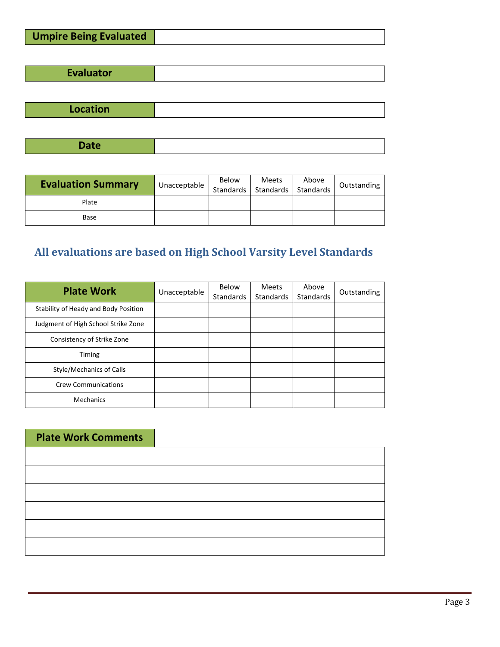| Evaluator |  |
|-----------|--|
|           |  |

| <b>Location</b> |
|-----------------|
|-----------------|

**Date**

| <b>Evaluation Summary</b> | Unacceptable | Below<br>Standards | Meets<br>Standards | Above<br>Standards | Outstanding |
|---------------------------|--------------|--------------------|--------------------|--------------------|-------------|
| Plate                     |              |                    |                    |                    |             |
| Base                      |              |                    |                    |                    |             |

# **All evaluations are based on High School Varsity Level Standards**

| <b>Plate Work</b>                    | Unacceptable | Below<br><b>Standards</b> | <b>Meets</b><br><b>Standards</b> | Above<br>Standards | Outstanding |
|--------------------------------------|--------------|---------------------------|----------------------------------|--------------------|-------------|
| Stability of Heady and Body Position |              |                           |                                  |                    |             |
| Judgment of High School Strike Zone  |              |                           |                                  |                    |             |
| Consistency of Strike Zone           |              |                           |                                  |                    |             |
| <b>Timing</b>                        |              |                           |                                  |                    |             |
| Style/Mechanics of Calls             |              |                           |                                  |                    |             |
| <b>Crew Communications</b>           |              |                           |                                  |                    |             |
| <b>Mechanics</b>                     |              |                           |                                  |                    |             |

| <b>Plate Work Comments</b> |  |
|----------------------------|--|
|                            |  |
|                            |  |
|                            |  |
|                            |  |
|                            |  |
|                            |  |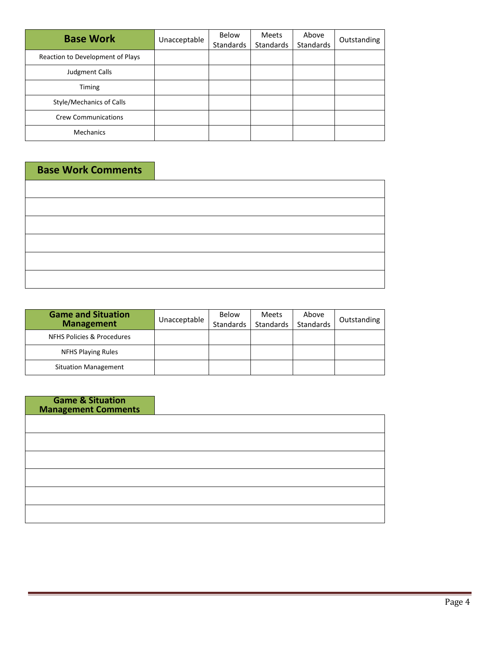| <b>Base Work</b>                 | Unacceptable | Below<br>Standards | <b>Meets</b><br><b>Standards</b> | Above<br>Standards | Outstanding |
|----------------------------------|--------------|--------------------|----------------------------------|--------------------|-------------|
| Reaction to Development of Plays |              |                    |                                  |                    |             |
| Judgment Calls                   |              |                    |                                  |                    |             |
| Timing                           |              |                    |                                  |                    |             |
| Style/Mechanics of Calls         |              |                    |                                  |                    |             |
| <b>Crew Communications</b>       |              |                    |                                  |                    |             |
| <b>Mechanics</b>                 |              |                    |                                  |                    |             |

### **Base Work Comments**

| <u> 1989 - Johann Barn, mars ann an t-Amhain an t-Amhain an t-Amhain an t-Amhain an t-Amhain an t-Amhain an t-Amh</u> |  |  |
|-----------------------------------------------------------------------------------------------------------------------|--|--|
| $\overline{\phantom{a}}$                                                                                              |  |  |
|                                                                                                                       |  |  |
|                                                                                                                       |  |  |

| <b>Game and Situation</b><br><b>Management</b> | Unacceptable | Below<br>Standards | Meets<br>Standards | Above<br>Standards | Outstanding |
|------------------------------------------------|--------------|--------------------|--------------------|--------------------|-------------|
| NFHS Policies & Procedures                     |              |                    |                    |                    |             |
| <b>NFHS Playing Rules</b>                      |              |                    |                    |                    |             |
| <b>Situation Management</b>                    |              |                    |                    |                    |             |

| <b>Game &amp; Situation</b><br><b>Management Comments</b> |  |
|-----------------------------------------------------------|--|
|                                                           |  |
|                                                           |  |
|                                                           |  |
|                                                           |  |
|                                                           |  |
|                                                           |  |